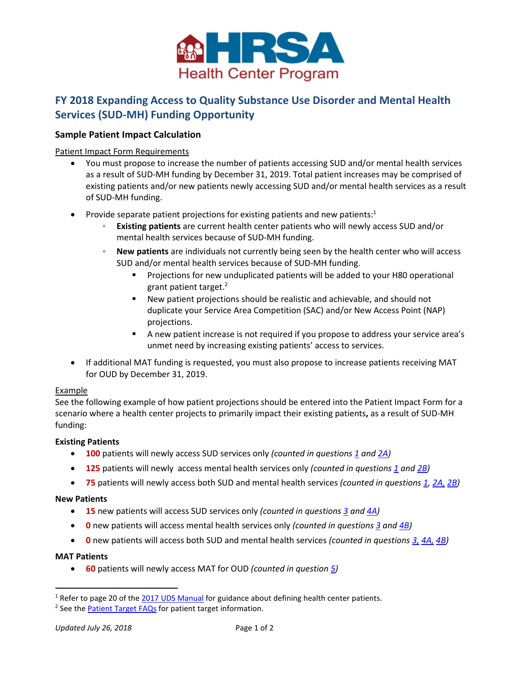

# **FY 2018 Expanding Access to Quality Substance Use Disorder and Mental Health Services (SUD-MH) Funding Opportunity**

## **Sample Patient Impact Calculation**

Patient Impact Form Requirements

- You must propose to increase the number of patients accessing SUD and/or mental health services as a result of SUD-MH funding by December 31, 2019. Total patient increases may be comprised of existing patients and/or new patients newly accessing SUD and/or mental health services as a result of SUD-MH funding.
- Provide separate patient projections for existing patients and new patients: $1$ 
	- **Existing patients** are current health center patients who will newly access SUD and/or mental health services because of SUD-MH funding.
	- **New patients** are individuals not currently being seen by the health center who will access SUD and/or mental health services because of SUD-MH funding.
		- Projections for new unduplicated patients will be added to your H80 operational grant patient target. 2
		- New patient projections should be realistic and achievable, and should not duplicate your Service Area Competition (SAC) and/or New Access Point (NAP) projections.
		- A new patient increase is not required if you propose to address your service area's unmet need by increasing existing patients' access to services.
- If additional MAT funding is requested, you must also propose to increase patients receiving MAT for OUD by December 31, 2019.

### Example

See the following example of how patient projections should be entered into the Patient Impact Form for a scenario where a health center projects to primarily impact their existing patients**,** as a result of SUD-MH funding:

### **Existing Patients**

- **100** patients will newly access SUD services only *(counted in questions [1](#page-1-0) and [2A\)](#page-1-1)*
- **125** patients will newly access mental health services only *(counted in questions [1](#page-1-0) an[d 2B\)](#page-1-2)*
- **75** patients will newly access both SUD and mental health services *(counted in questions [1,](#page-1-0) [2A,](#page-1-1) [2B\)](#page-1-2)*

### **New Patients**

- **15** new patients will access SUD services only *(counted in questions [3](#page-1-3) and [4A\)](#page-1-4)*
- **0** new patients will access mental health services only *(counted in questions [3](#page-1-3) and [4B\)](#page-1-5)*
- **0** new patients will access both SUD and mental health services *(counted in questions [3,](#page-1-3) [4A,](#page-1-4) [4B\)](#page-1-5)*

### **MAT Patients**

 $\overline{a}$ 

• **60** patients will newly access MAT for OUD *(counted in questio[n 5\)](#page-1-6)*

<sup>&</sup>lt;sup>1</sup> Refer to page 20 of the [2017 UDS Manual](https://www.bphc.hrsa.gov/datareporting/reporting/2017udsreportingmanual.pdf) for guidance about defining health center patients.

<sup>&</sup>lt;sup>2</sup> See the **[Patient Target FAQs](http://bphc.hrsa.gov/programopportunities/fundingopportunities/sac/patienttarget.pdf)** for patient target information.